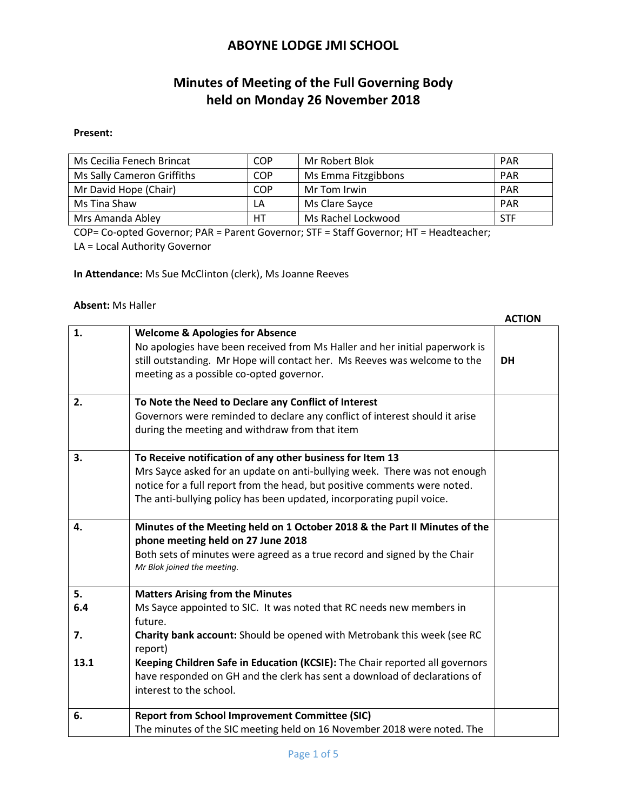# **Minutes of Meeting of the Full Governing Body held on Monday 26 November 2018**

#### **Present:**

| Ms Cecilia Fenech Brincat  | <b>COP</b> | Mr Robert Blok      | <b>PAR</b> |
|----------------------------|------------|---------------------|------------|
| Ms Sally Cameron Griffiths | <b>COP</b> | Ms Emma Fitzgibbons | <b>PAR</b> |
| Mr David Hope (Chair)      | COP        | Mr Tom Irwin        | PAR        |
| Ms Tina Shaw               | LA         | Ms Clare Sayce      | <b>PAR</b> |
| Mrs Amanda Abley           | HT         | Ms Rachel Lockwood  | STF        |

COP= Co-opted Governor; PAR = Parent Governor; STF = Staff Governor; HT = Headteacher; LA = Local Authority Governor

**In Attendance:** Ms Sue McClinton (clerk), Ms Joanne Reeves

#### **Absent:** Ms Haller

|      |                                                                                                                                                                                                                                                                                              | <b>ACTION</b> |
|------|----------------------------------------------------------------------------------------------------------------------------------------------------------------------------------------------------------------------------------------------------------------------------------------------|---------------|
| 1.   | <b>Welcome &amp; Apologies for Absence</b><br>No apologies have been received from Ms Haller and her initial paperwork is<br>still outstanding. Mr Hope will contact her. Ms Reeves was welcome to the<br>meeting as a possible co-opted governor.                                           | <b>DH</b>     |
| 2.   | To Note the Need to Declare any Conflict of Interest<br>Governors were reminded to declare any conflict of interest should it arise<br>during the meeting and withdraw from that item                                                                                                        |               |
| 3.   | To Receive notification of any other business for Item 13<br>Mrs Sayce asked for an update on anti-bullying week. There was not enough<br>notice for a full report from the head, but positive comments were noted.<br>The anti-bullying policy has been updated, incorporating pupil voice. |               |
| 4.   | Minutes of the Meeting held on 1 October 2018 & the Part II Minutes of the<br>phone meeting held on 27 June 2018<br>Both sets of minutes were agreed as a true record and signed by the Chair<br>Mr Blok joined the meeting.                                                                 |               |
| 5.   | <b>Matters Arising from the Minutes</b>                                                                                                                                                                                                                                                      |               |
| 6.4  | Ms Sayce appointed to SIC. It was noted that RC needs new members in<br>future.                                                                                                                                                                                                              |               |
| 7.   | Charity bank account: Should be opened with Metrobank this week (see RC<br>report)                                                                                                                                                                                                           |               |
| 13.1 | Keeping Children Safe in Education (KCSIE): The Chair reported all governors<br>have responded on GH and the clerk has sent a download of declarations of<br>interest to the school.                                                                                                         |               |
| 6.   | <b>Report from School Improvement Committee (SIC)</b><br>The minutes of the SIC meeting held on 16 November 2018 were noted. The                                                                                                                                                             |               |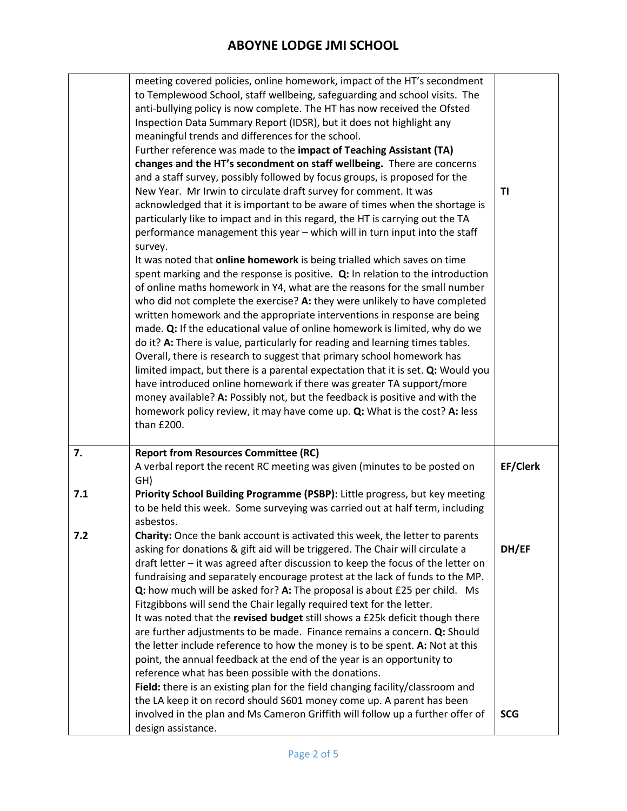|     | meeting covered policies, online homework, impact of the HT's secondment<br>to Templewood School, staff wellbeing, safeguarding and school visits. The         |            |
|-----|----------------------------------------------------------------------------------------------------------------------------------------------------------------|------------|
|     | anti-bullying policy is now complete. The HT has now received the Ofsted                                                                                       |            |
|     | Inspection Data Summary Report (IDSR), but it does not highlight any                                                                                           |            |
|     | meaningful trends and differences for the school.                                                                                                              |            |
|     | Further reference was made to the impact of Teaching Assistant (TA)                                                                                            |            |
|     | changes and the HT's secondment on staff wellbeing. There are concerns                                                                                         |            |
|     | and a staff survey, possibly followed by focus groups, is proposed for the                                                                                     |            |
|     | New Year. Mr Irwin to circulate draft survey for comment. It was                                                                                               | TI         |
|     | acknowledged that it is important to be aware of times when the shortage is                                                                                    |            |
|     | particularly like to impact and in this regard, the HT is carrying out the TA                                                                                  |            |
|     | performance management this year - which will in turn input into the staff                                                                                     |            |
|     | survey.                                                                                                                                                        |            |
|     | It was noted that online homework is being trialled which saves on time                                                                                        |            |
|     | spent marking and the response is positive. $Q$ : In relation to the introduction<br>of online maths homework in Y4, what are the reasons for the small number |            |
|     | who did not complete the exercise? A: they were unlikely to have completed                                                                                     |            |
|     | written homework and the appropriate interventions in response are being                                                                                       |            |
|     | made. Q: If the educational value of online homework is limited, why do we                                                                                     |            |
|     | do it? A: There is value, particularly for reading and learning times tables.                                                                                  |            |
|     | Overall, there is research to suggest that primary school homework has                                                                                         |            |
|     | limited impact, but there is a parental expectation that it is set. Q: Would you                                                                               |            |
|     | have introduced online homework if there was greater TA support/more                                                                                           |            |
|     | money available? A: Possibly not, but the feedback is positive and with the                                                                                    |            |
|     | homework policy review, it may have come up. Q: What is the cost? A: less                                                                                      |            |
|     | than £200.                                                                                                                                                     |            |
|     |                                                                                                                                                                |            |
| 7.  | <b>Report from Resources Committee (RC)</b>                                                                                                                    |            |
|     | A verbal report the recent RC meeting was given (minutes to be posted on                                                                                       | EF/Clerk   |
|     | GH)                                                                                                                                                            |            |
| 7.1 | Priority School Building Programme (PSBP): Little progress, but key meeting<br>to be held this week. Some surveying was carried out at half term, including    |            |
|     | asbestos.                                                                                                                                                      |            |
| 7.2 | Charity: Once the bank account is activated this week, the letter to parents                                                                                   |            |
|     | asking for donations & gift aid will be triggered. The Chair will circulate a                                                                                  | DH/EF      |
|     | draft letter - it was agreed after discussion to keep the focus of the letter on                                                                               |            |
|     | fundraising and separately encourage protest at the lack of funds to the MP.                                                                                   |            |
|     | Q: how much will be asked for? A: The proposal is about £25 per child. Ms                                                                                      |            |
|     | Fitzgibbons will send the Chair legally required text for the letter.                                                                                          |            |
|     | It was noted that the revised budget still shows a £25k deficit though there                                                                                   |            |
|     | are further adjustments to be made. Finance remains a concern. Q: Should                                                                                       |            |
|     | the letter include reference to how the money is to be spent. A: Not at this                                                                                   |            |
|     | point, the annual feedback at the end of the year is an opportunity to                                                                                         |            |
|     | reference what has been possible with the donations.                                                                                                           |            |
|     | Field: there is an existing plan for the field changing facility/classroom and                                                                                 |            |
|     | the LA keep it on record should S601 money come up. A parent has been                                                                                          |            |
|     | involved in the plan and Ms Cameron Griffith will follow up a further offer of                                                                                 | <b>SCG</b> |
|     | design assistance.                                                                                                                                             |            |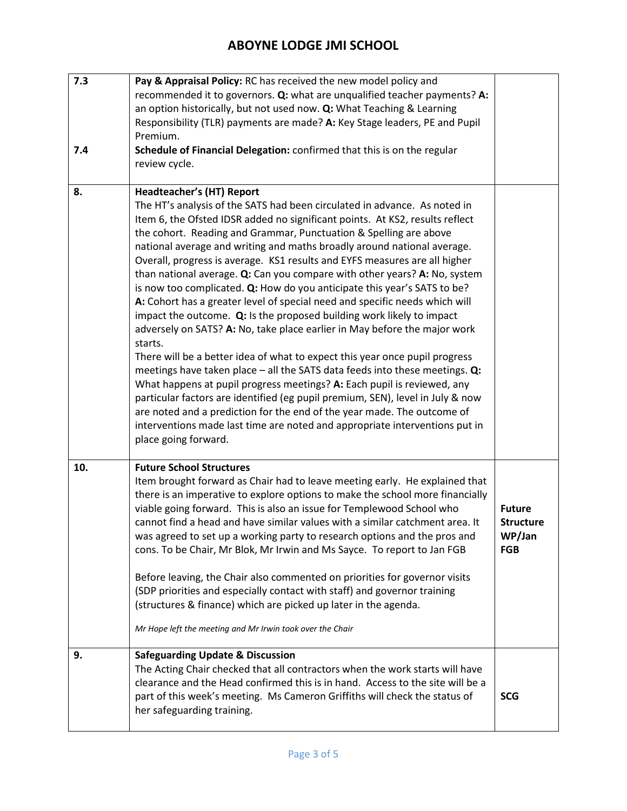| 7.3 | Pay & Appraisal Policy: RC has received the new model policy and<br>recommended it to governors. Q: what are unqualified teacher payments? A:<br>an option historically, but not used now. Q: What Teaching & Learning<br>Responsibility (TLR) payments are made? A: Key Stage leaders, PE and Pupil<br>Premium.                                                                                                                                                                                                                                                                                                                                                                                                                                                                                                                                                                                                                                                                                                                                                                                                                                                                                                                                                                                                                                       |                                                           |
|-----|--------------------------------------------------------------------------------------------------------------------------------------------------------------------------------------------------------------------------------------------------------------------------------------------------------------------------------------------------------------------------------------------------------------------------------------------------------------------------------------------------------------------------------------------------------------------------------------------------------------------------------------------------------------------------------------------------------------------------------------------------------------------------------------------------------------------------------------------------------------------------------------------------------------------------------------------------------------------------------------------------------------------------------------------------------------------------------------------------------------------------------------------------------------------------------------------------------------------------------------------------------------------------------------------------------------------------------------------------------|-----------------------------------------------------------|
| 7.4 | Schedule of Financial Delegation: confirmed that this is on the regular<br>review cycle.                                                                                                                                                                                                                                                                                                                                                                                                                                                                                                                                                                                                                                                                                                                                                                                                                                                                                                                                                                                                                                                                                                                                                                                                                                                               |                                                           |
| 8.  | <b>Headteacher's (HT) Report</b><br>The HT's analysis of the SATS had been circulated in advance. As noted in<br>Item 6, the Ofsted IDSR added no significant points. At KS2, results reflect<br>the cohort. Reading and Grammar, Punctuation & Spelling are above<br>national average and writing and maths broadly around national average.<br>Overall, progress is average. KS1 results and EYFS measures are all higher<br>than national average. Q: Can you compare with other years? A: No, system<br>is now too complicated. Q: How do you anticipate this year's SATS to be?<br>A: Cohort has a greater level of special need and specific needs which will<br>impact the outcome. Q: Is the proposed building work likely to impact<br>adversely on SATS? A: No, take place earlier in May before the major work<br>starts.<br>There will be a better idea of what to expect this year once pupil progress<br>meetings have taken place $-$ all the SATS data feeds into these meetings. $Q$ :<br>What happens at pupil progress meetings? A: Each pupil is reviewed, any<br>particular factors are identified (eg pupil premium, SEN), level in July & now<br>are noted and a prediction for the end of the year made. The outcome of<br>interventions made last time are noted and appropriate interventions put in<br>place going forward. |                                                           |
| 10. | <b>Future School Structures</b><br>Item brought forward as Chair had to leave meeting early. He explained that<br>there is an imperative to explore options to make the school more financially<br>viable going forward. This is also an issue for Templewood School who<br>cannot find a head and have similar values with a similar catchment area. It<br>was agreed to set up a working party to research options and the pros and<br>cons. To be Chair, Mr Blok, Mr Irwin and Ms Sayce. To report to Jan FGB<br>Before leaving, the Chair also commented on priorities for governor visits<br>(SDP priorities and especially contact with staff) and governor training<br>(structures & finance) which are picked up later in the agenda.<br>Mr Hope left the meeting and Mr Irwin took over the Chair                                                                                                                                                                                                                                                                                                                                                                                                                                                                                                                                             | <b>Future</b><br><b>Structure</b><br>WP/Jan<br><b>FGB</b> |
| 9.  | <b>Safeguarding Update &amp; Discussion</b><br>The Acting Chair checked that all contractors when the work starts will have<br>clearance and the Head confirmed this is in hand. Access to the site will be a<br>part of this week's meeting. Ms Cameron Griffiths will check the status of<br>her safeguarding training.                                                                                                                                                                                                                                                                                                                                                                                                                                                                                                                                                                                                                                                                                                                                                                                                                                                                                                                                                                                                                              | <b>SCG</b>                                                |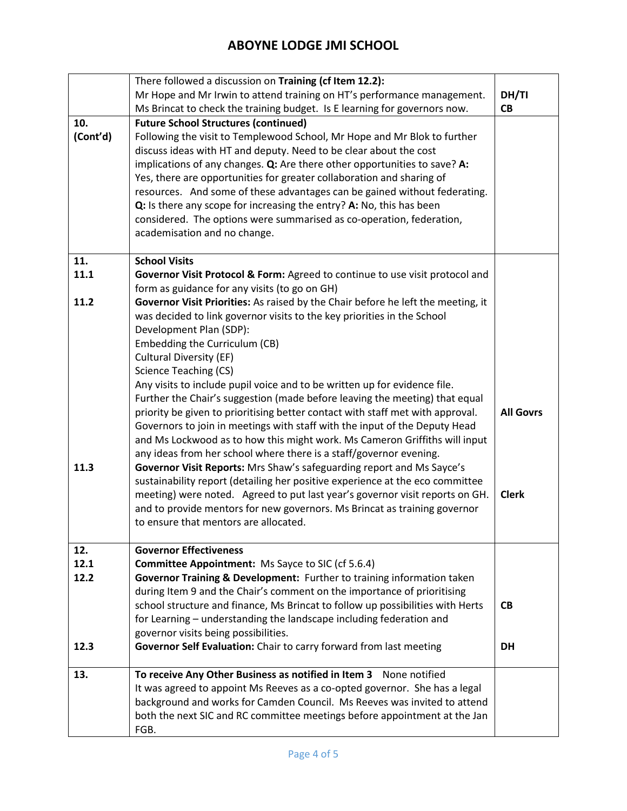|          | There followed a discussion on Training (cf Item 12.2):                          |                  |  |
|----------|----------------------------------------------------------------------------------|------------------|--|
|          | Mr Hope and Mr Irwin to attend training on HT's performance management.          |                  |  |
|          | Ms Brincat to check the training budget. Is E learning for governors now.        |                  |  |
| 10.      | <b>Future School Structures (continued)</b>                                      |                  |  |
| (Cont'd) | Following the visit to Templewood School, Mr Hope and Mr Blok to further         |                  |  |
|          | discuss ideas with HT and deputy. Need to be clear about the cost                |                  |  |
|          | implications of any changes. Q: Are there other opportunities to save? A:        |                  |  |
|          | Yes, there are opportunities for greater collaboration and sharing of            |                  |  |
|          | resources. And some of these advantages can be gained without federating.        |                  |  |
|          | Q: Is there any scope for increasing the entry? A: No, this has been             |                  |  |
|          | considered. The options were summarised as co-operation, federation,             |                  |  |
|          | academisation and no change.                                                     |                  |  |
|          |                                                                                  |                  |  |
| 11.      | <b>School Visits</b>                                                             |                  |  |
| 11.1     | Governor Visit Protocol & Form: Agreed to continue to use visit protocol and     |                  |  |
|          | form as guidance for any visits (to go on GH)                                    |                  |  |
| 11.2     | Governor Visit Priorities: As raised by the Chair before he left the meeting, it |                  |  |
|          | was decided to link governor visits to the key priorities in the School          |                  |  |
|          | Development Plan (SDP):                                                          |                  |  |
|          | Embedding the Curriculum (CB)                                                    |                  |  |
|          | <b>Cultural Diversity (EF)</b>                                                   |                  |  |
|          | <b>Science Teaching (CS)</b>                                                     |                  |  |
|          | Any visits to include pupil voice and to be written up for evidence file.        |                  |  |
|          | Further the Chair's suggestion (made before leaving the meeting) that equal      |                  |  |
|          | priority be given to prioritising better contact with staff met with approval.   | <b>All Govrs</b> |  |
|          | Governors to join in meetings with staff with the input of the Deputy Head       |                  |  |
|          | and Ms Lockwood as to how this might work. Ms Cameron Griffiths will input       |                  |  |
|          | any ideas from her school where there is a staff/governor evening.               |                  |  |
| 11.3     | Governor Visit Reports: Mrs Shaw's safeguarding report and Ms Sayce's            |                  |  |
|          | sustainability report (detailing her positive experience at the eco committee    |                  |  |
|          | meeting) were noted. Agreed to put last year's governor visit reports on GH.     | <b>Clerk</b>     |  |
|          | and to provide mentors for new governors. Ms Brincat as training governor        |                  |  |
|          | to ensure that mentors are allocated.                                            |                  |  |
|          |                                                                                  |                  |  |
| 12.      | <b>Governor Effectiveness</b>                                                    |                  |  |
| 12.1     | <b>Committee Appointment:</b> Ms Sayce to SIC (cf 5.6.4)                         |                  |  |
| 12.2     | Governor Training & Development: Further to training information taken           |                  |  |
|          | during Item 9 and the Chair's comment on the importance of prioritising          |                  |  |
|          | school structure and finance, Ms Brincat to follow up possibilities with Herts   | <b>CB</b>        |  |
|          | for Learning – understanding the landscape including federation and              |                  |  |
|          | governor visits being possibilities.                                             |                  |  |
| 12.3     | Governor Self Evaluation: Chair to carry forward from last meeting               | <b>DH</b>        |  |
|          |                                                                                  |                  |  |
| 13.      | To receive Any Other Business as notified in Item 3 None notified                |                  |  |
|          | It was agreed to appoint Ms Reeves as a co-opted governor. She has a legal       |                  |  |
|          | background and works for Camden Council. Ms Reeves was invited to attend         |                  |  |
|          | both the next SIC and RC committee meetings before appointment at the Jan        |                  |  |
|          | FGB.                                                                             |                  |  |